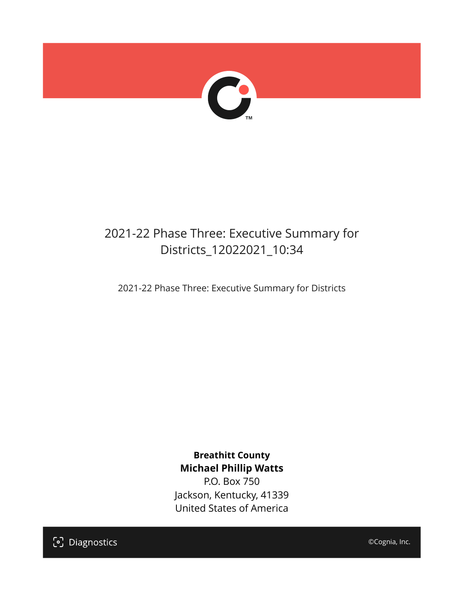

# 2021-22 Phase Three: Executive Summary for Districts\_12022021\_10:34

2021-22 Phase Three: Executive Summary for Districts

**Breathitt County Michael Phillip Watts**

P.O. Box 750 Jackson, Kentucky, 41339 United States of America

[၁] Diagnostics

©Cognia, Inc.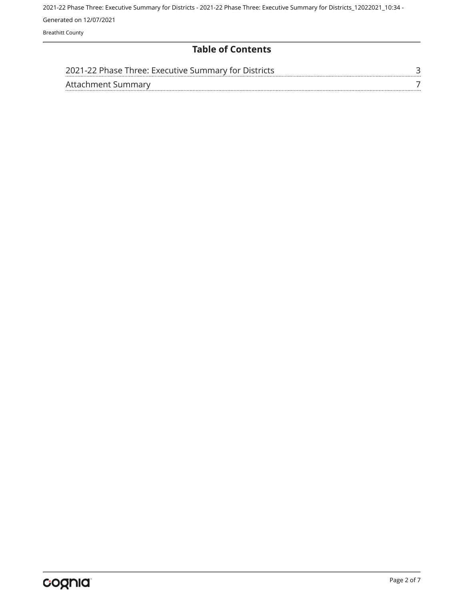Breathitt County

# **Table of Contents**

| 2021-22 Phase Three: Executive Summary for Districts |  |
|------------------------------------------------------|--|
| Attachment Summary                                   |  |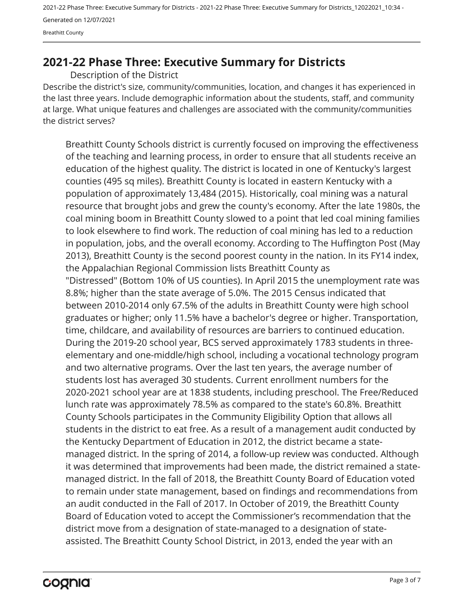<span id="page-2-0"></span>Breathitt County

# **2021-22 Phase Three: Executive Summary for Districts**

Description of the District

Describe the district's size, community/communities, location, and changes it has experienced in the last three years. Include demographic information about the students, staff, and community at large. What unique features and challenges are associated with the community/communities the district serves?

Breathitt County Schools district is currently focused on improving the effectiveness of the teaching and learning process, in order to ensure that all students receive an education of the highest quality. The district is located in one of Kentucky's largest counties (495 sq miles). Breathitt County is located in eastern Kentucky with a population of approximately 13,484 (2015). Historically, coal mining was a natural resource that brought jobs and grew the county's economy. After the late 1980s, the coal mining boom in Breathitt County slowed to a point that led coal mining families to look elsewhere to find work. The reduction of coal mining has led to a reduction in population, jobs, and the overall economy. According to The Huffington Post (May 2013), Breathitt County is the second poorest county in the nation. In its FY14 index, the Appalachian Regional Commission lists Breathitt County as "Distressed" (Bottom 10% of US counties). In April 2015 the unemployment rate was 8.8%; higher than the state average of 5.0%. The 2015 Census indicated that between 2010-2014 only 67.5% of the adults in Breathitt County were high school graduates or higher; only 11.5% have a bachelor's degree or higher. Transportation, time, childcare, and availability of resources are barriers to continued education. During the 2019-20 school year, BCS served approximately 1783 students in threeelementary and one-middle/high school, including a vocational technology program and two alternative programs. Over the last ten years, the average number of students lost has averaged 30 students. Current enrollment numbers for the 2020-2021 school year are at 1838 students, including preschool. The Free/Reduced lunch rate was approximately 78.5% as compared to the state's 60.8%. Breathitt County Schools participates in the Community Eligibility Option that allows all students in the district to eat free. As a result of a management audit conducted by the Kentucky Department of Education in 2012, the district became a statemanaged district. In the spring of 2014, a follow-up review was conducted. Although it was determined that improvements had been made, the district remained a statemanaged district. In the fall of 2018, the Breathitt County Board of Education voted to remain under state management, based on findings and recommendations from an audit conducted in the Fall of 2017. In October of 2019, the Breathitt County Board of Education voted to accept the Commissioner's recommendation that the district move from a designation of state-managed to a designation of stateassisted. The Breathitt County School District, in 2013, ended the year with an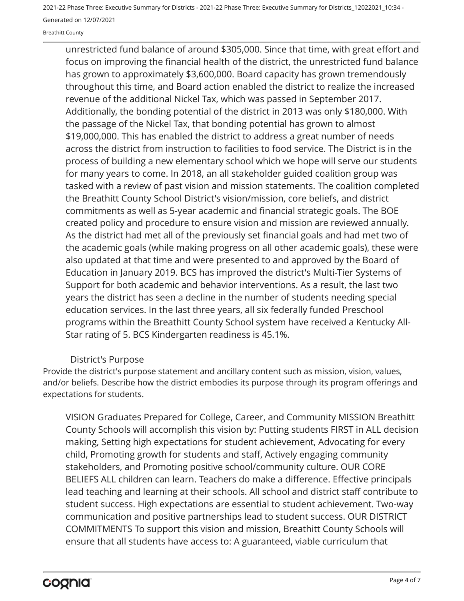Breathitt County

unrestricted fund balance of around \$305,000. Since that time, with great effort and focus on improving the financial health of the district, the unrestricted fund balance has grown to approximately \$3,600,000. Board capacity has grown tremendously throughout this time, and Board action enabled the district to realize the increased revenue of the additional Nickel Tax, which was passed in September 2017. Additionally, the bonding potential of the district in 2013 was only \$180,000. With the passage of the Nickel Tax, that bonding potential has grown to almost \$19,000,000. This has enabled the district to address a great number of needs across the district from instruction to facilities to food service. The District is in the process of building a new elementary school which we hope will serve our students for many years to come. In 2018, an all stakeholder guided coalition group was tasked with a review of past vision and mission statements. The coalition completed the Breathitt County School District's vision/mission, core beliefs, and district commitments as well as 5-year academic and financial strategic goals. The BOE created policy and procedure to ensure vision and mission are reviewed annually. As the district had met all of the previously set financial goals and had met two of the academic goals (while making progress on all other academic goals), these were also updated at that time and were presented to and approved by the Board of Education in January 2019. BCS has improved the district's Multi-Tier Systems of Support for both academic and behavior interventions. As a result, the last two years the district has seen a decline in the number of students needing special education services. In the last three years, all six federally funded Preschool programs within the Breathitt County School system have received a Kentucky All-Star rating of 5. BCS Kindergarten readiness is 45.1%.

## District's Purpose

Provide the district's purpose statement and ancillary content such as mission, vision, values, and/or beliefs. Describe how the district embodies its purpose through its program offerings and expectations for students.

VISION Graduates Prepared for College, Career, and Community MISSION Breathitt County Schools will accomplish this vision by: Putting students FIRST in ALL decision making, Setting high expectations for student achievement, Advocating for every child, Promoting growth for students and staff, Actively engaging community stakeholders, and Promoting positive school/community culture. OUR CORE BELIEFS ALL children can learn. Teachers do make a difference. Effective principals lead teaching and learning at their schools. All school and district staff contribute to student success. High expectations are essential to student achievement. Two-way communication and positive partnerships lead to student success. OUR DISTRICT COMMITMENTS To support this vision and mission, Breathitt County Schools will ensure that all students have access to: A guaranteed, viable curriculum that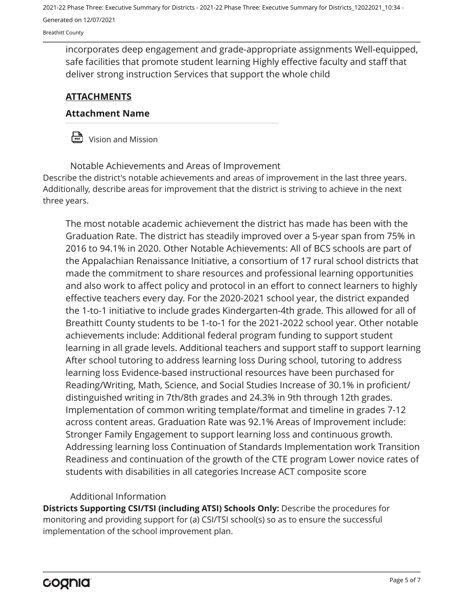Breathitt County

incorporates deep engagement and grade-appropriate assignments Well-equipped, safe facilities that promote student learning Highly effective faculty and staff that deliver strong instruction Services that support the whole child

# **ATTACHMENTS**

### **Attachment Name**

 $\frac{D}{\sqrt{P_{\text{max}}}}$  Vision and Mission

Describe the district's notable achievements and areas of improvement in the last three years. Additionally, describe areas for improvement that the district is striving to achieve in the next three years. Notable Achievements and Areas of Improvement

The most notable academic achievement the district has made has been with the Graduation Rate. The district has steadily improved over a 5-year span from 75% in 2016 to 94.1% in 2020. Other Notable Achievements: All of BCS schools are part of the Appalachian Renaissance Initiative, a consortium of 17 rural school districts that made the commitment to share resources and professional learning opportunities and also work to affect policy and protocol in an effort to connect learners to highly effective teachers every day. For the 2020-2021 school year, the district expanded the 1-to-1 initiative to include grades Kindergarten-4th grade. This allowed for all of Breathitt County students to be 1-to-1 for the 2021-2022 school year. Other notable achievements include: Additional federal program funding to support student learning in all grade levels. Additional teachers and support staff to support learning After school tutoring to address learning loss During school, tutoring to address learning loss Evidence-based instructional resources have been purchased for Reading/Writing, Math, Science, and Social Studies Increase of 30.1% in proficient/ distinguished writing in 7th/8th grades and 24.3% in 9th through 12th grades. Implementation of common writing template/format and timeline in grades 7-12 across content areas. Graduation Rate was 92.1% Areas of Improvement include: Stronger Family Engagement to support learning loss and continuous growth. Addressing learning loss Continuation of Standards Implementation work Transition Readiness and continuation of the growth of the CTE program Lower novice rates of students with disabilities in all categories Increase ACT composite score

## Additional Information

**Districts Supporting CSI/TSI (including ATSI) Schools Only:** Describe the procedures for monitoring and providing support for (a) CSI/TSI school(s) so as to ensure the successful implementation of the school improvement plan.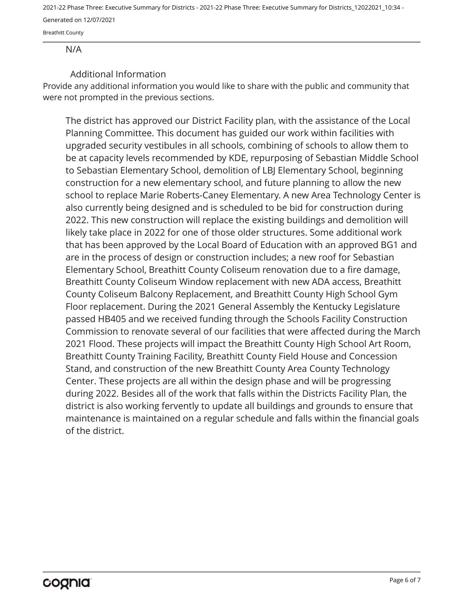Breathitt County

#### N/A

## Additional Information

Provide any additional information you would like to share with the public and community that were not prompted in the previous sections.

The district has approved our District Facility plan, with the assistance of the Local Planning Committee. This document has guided our work within facilities with upgraded security vestibules in all schools, combining of schools to allow them to be at capacity levels recommended by KDE, repurposing of Sebastian Middle School to Sebastian Elementary School, demolition of LBJ Elementary School, beginning construction for a new elementary school, and future planning to allow the new school to replace Marie Roberts-Caney Elementary. A new Area Technology Center is also currently being designed and is scheduled to be bid for construction during 2022. This new construction will replace the existing buildings and demolition will likely take place in 2022 for one of those older structures. Some additional work that has been approved by the Local Board of Education with an approved BG1 and are in the process of design or construction includes; a new roof for Sebastian Elementary School, Breathitt County Coliseum renovation due to a fire damage, Breathitt County Coliseum Window replacement with new ADA access, Breathitt County Coliseum Balcony Replacement, and Breathitt County High School Gym Floor replacement. During the 2021 General Assembly the Kentucky Legislature passed HB405 and we received funding through the Schools Facility Construction Commission to renovate several of our facilities that were affected during the March 2021 Flood. These projects will impact the Breathitt County High School Art Room, Breathitt County Training Facility, Breathitt County Field House and Concession Stand, and construction of the new Breathitt County Area County Technology Center. These projects are all within the design phase and will be progressing during 2022. Besides all of the work that falls within the Districts Facility Plan, the district is also working fervently to update all buildings and grounds to ensure that maintenance is maintained on a regular schedule and falls within the financial goals of the district.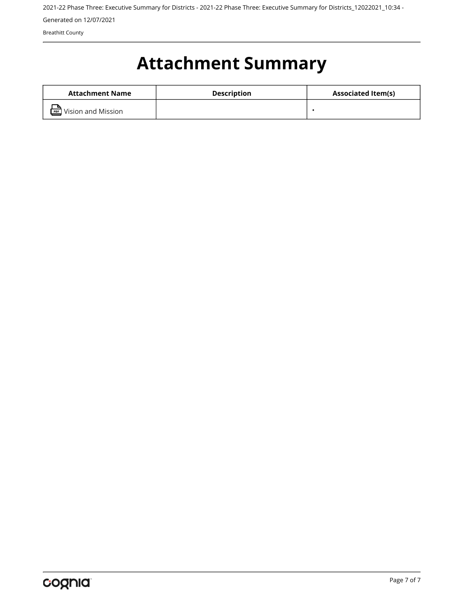Breathitt County

# <span id="page-6-0"></span>**Attachment Summary**

| Attachment Name               | <b>Description</b> | <b>Associated Item(s)</b> |
|-------------------------------|--------------------|---------------------------|
| <b>PDF</b> Vision and Mission |                    |                           |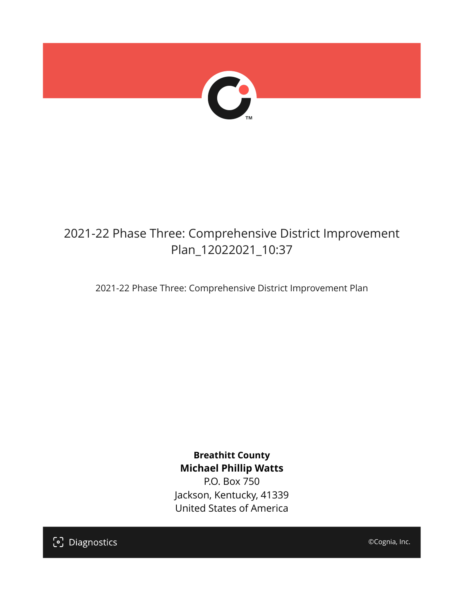

# 2021-22 Phase Three: Comprehensive District Improvement Plan\_12022021\_10:37

2021-22 Phase Three: Comprehensive District Improvement Plan

**Breathitt County Michael Phillip Watts**

P.O. Box 750 Jackson, Kentucky, 41339 United States of America

[၁] Diagnostics

©Cognia, Inc.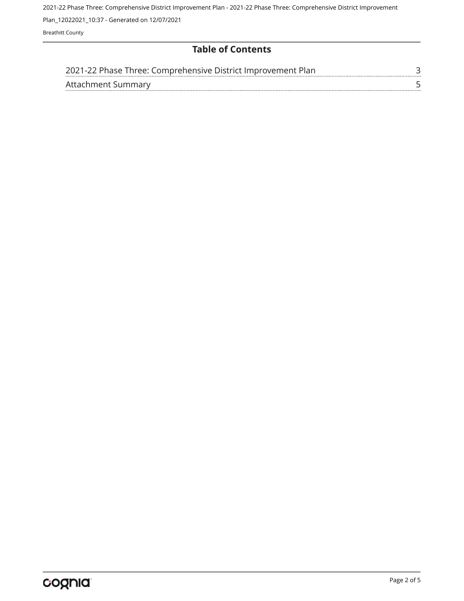2021-22 Phase Three: Comprehensive District Improvement Plan - 2021-22 Phase Three: Comprehensive District Improvement

Plan\_12022021\_10:37 - Generated on 12/07/2021

Breathitt County

# **Table of Contents**

| 2021-22 Phase Three: Comprehensive District Improvement Plan |  |
|--------------------------------------------------------------|--|
| Attachment Summary                                           |  |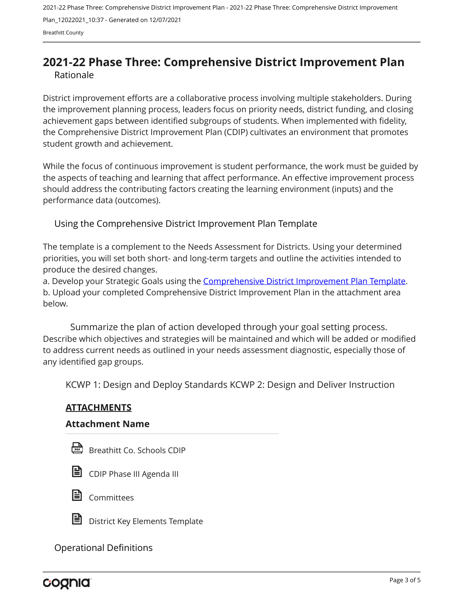2021-22 Phase Three: Comprehensive District Improvement Plan - 2021-22 Phase Three: Comprehensive District Improvement Plan\_12022021\_10:37 - Generated on 12/07/2021 Breathitt County

# <span id="page-9-0"></span>**2021-22 Phase Three: Comprehensive District Improvement Plan** Rationale

District improvement efforts are a collaborative process involving multiple stakeholders. During the improvement planning process, leaders focus on priority needs, district funding, and closing achievement gaps between identified subgroups of students. When implemented with fidelity, the Comprehensive District Improvement Plan (CDIP) cultivates an environment that promotes student growth and achievement.

While the focus of continuous improvement is student performance, the work must be guided by the aspects of teaching and learning that affect performance. An effective improvement process should address the contributing factors creating the learning environment (inputs) and the performance data (outcomes).

Using the Comprehensive District Improvement Plan Template

The template is a complement to the Needs Assessment for Districts. Using your determined priorities, you will set both short- and long-term targets and outline the activities intended to produce the desired changes.

a. Develop your Strategic Goals using the [Comprehensive District Improvement Plan Template](https://education.ky.gov/school/csip/Documents/kde comprehensive improvement plan for district.docx). b. Upload your completed Comprehensive District Improvement Plan in the attachment area below.

Describe which objectives and strategies will be maintained and which will be added or modified to address current needs as outlined in your needs assessment diagnostic, especially those of any identified gap groups. Summarize the plan of action developed through your goal setting process.

KCWP 1: Design and Deploy Standards KCWP 2: Design and Deliver Instruction

# **ATTACHMENTS**

#### **Attachment Name**

Breathitt Co. Schools CDIP







District Key Elements Template

Operational Definitions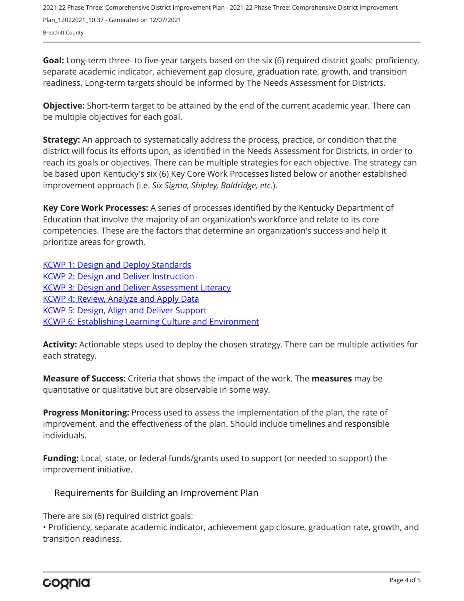2021-22 Phase Three: Comprehensive District Improvement Plan - 2021-22 Phase Three: Comprehensive District Improvement Plan\_12022021\_10:37 - Generated on 12/07/2021 Breathitt County

**Goal:** Long-term three- to five-year targets based on the six (6) required district goals: proficiency, separate academic indicator, achievement gap closure, graduation rate, growth, and transition readiness. Long-term targets should be informed by The Needs Assessment for Districts.

**Objective:** Short-term target to be attained by the end of the current academic year. There can be multiple objectives for each goal.

**Strategy:** An approach to systematically address the process, practice, or condition that the district will focus its efforts upon, as identified in the Needs Assessment for Districts, in order to reach its goals or objectives. There can be multiple strategies for each objective. The strategy can be based upon Kentucky's six (6) Key Core Work Processes listed below or another established improvement approach (i.e. *Six Sigma, Shipley, Baldridge, etc.*).

**Key Core Work Processes:** A series of processes identified by the Kentucky Department of Education that involve the majority of an organization's workforce and relate to its core competencies. These are the factors that determine an organization's success and help it prioritize areas for growth.

[KCWP 1: Design and Deploy Standards](https://education.ky.gov/school/csip/Documents/KCWP%201%20Strategic%20Design%20and%20Deploy%20Standards.pdf) [KCWP 2: Design and Deliver Instruction](https://education.ky.gov/school/csip/Documents/KCWP%202%20Strategic%20Design%20and%20Deliver%20Instruction.pdf) **[KCWP 3: Design and Deliver Assessment Literacy](https://education.ky.gov/school/csip/Documents/KCWP%203%20Strategic%20Design%20and%20Deliver%20Assessment%20Literacy.pdf)** [KCWP 4: Review, Analyze and Apply Data](https://education.ky.gov/school/csip/Documents/KCWP%204%20Strategic%20Review%20Analyze%20and%20Apply%20Data.pdf) [KCWP 5: Design, Align and Deliver Support](https://education.ky.gov/school/csip/Documents/KCWP%205%20Strategic%20Design%20Align%20Deliver%20Support%20Processes.pdf) [KCWP 6: Establishing Learning Culture and Environment](https://education.ky.gov/school/csip/Documents/KCWP%206%20Strategic%20Establish%20Learning%20Culture%20and%20Environment.pdf)

**Activity:** Actionable steps used to deploy the chosen strategy. There can be multiple activities for each strategy.

**Measure of Success:** Criteria that shows the impact of the work. The **measures** may be quantitative or qualitative but are observable in some way.

**Progress Monitoring:** Process used to assess the implementation of the plan, the rate of improvement, and the effectiveness of the plan. Should include timelines and responsible individuals.

**Funding:** Local, state, or federal funds/grants used to support (or needed to support) the improvement initiative.

Requirements for Building an Improvement Plan

There are six (6) required district goals:

• Proficiency, separate academic indicator, achievement gap closure, graduation rate, growth, and transition readiness.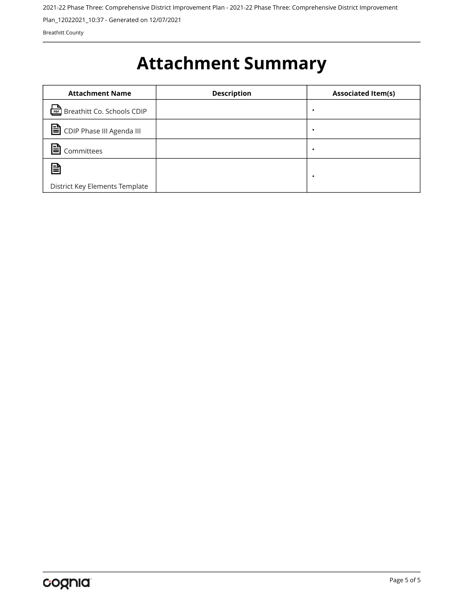2021-22 Phase Three: Comprehensive District Improvement Plan - 2021-22 Phase Three: Comprehensive District Improvement

Plan\_12022021\_10:37 - Generated on 12/07/2021

Breathitt County

# <span id="page-11-0"></span>**Attachment Summary**

| <b>Attachment Name</b>                   | <b>Description</b> | <b>Associated Item(s)</b> |
|------------------------------------------|--------------------|---------------------------|
| <u>िल्ल</u> े Breathitt Co. Schools CDIP |                    | ٠                         |
| CDIP Phase III Agenda III                |                    | ٠                         |
| Committees                               |                    | ٠                         |
| 冒                                        |                    | ٠                         |
| District Key Elements Template           |                    |                           |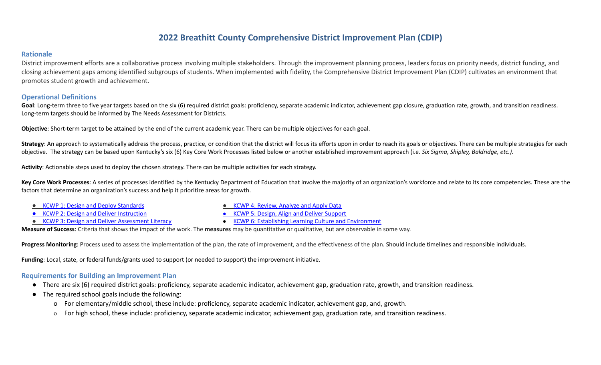# **2022 Breathitt County Comprehensive District Improvement Plan (CDIP)**

#### **Rationale**

District improvement efforts are a collaborative process involving multiple stakeholders. Through the improvement planning process, leaders focus on priority needs, district funding, and closing achievement gaps among identified subgroups of students. When implemented with fidelity, the Comprehensive District Improvement Plan (CDIP) cultivates an environment that promotes student growth and achievement.

## **Operational Definitions**

Goal: Long-term three to five year targets based on the six (6) required district goals: proficiency, separate academic indicator, achievement gap closure, graduation rate, growth, and transition readiness. Long-term targets should be informed by The Needs Assessment for Districts.

**Objective**: Short-term target to be attained by the end of the current academic year. There can be multiple objectives for each goal.

Strategy: An approach to systematically address the process, practice, or condition that the district will focus its efforts upon in order to reach its goals or objectives. There can be multiple strategies for each objective. The strategy can be based upon Kentucky's six (6) Key Core Work Processes listed below or another established improvement approach (i.e. *Six Sigma, Shipley, Baldridge, etc.).*

**Activity**: Actionable steps used to deploy the chosen strategy. There can be multiple activities for each strategy.

Key Core Work Processes: A series of processes identified by the Kentucky Department of Education that involve the majority of an organization's workforce and relate to its core competencies. These are the factors that determine an organization's success and help it prioritize areas for growth.

- KCWP 1: Design and Deploy [Standards](https://education.ky.gov/school/csip/Documents/KCWP%201%20Strategic%20Design%20and%20Deploy%20Standards.pdf)
- KCWP 2: Design and Deliver [Instruction](https://education.ky.gov/school/csip/Documents/KCWP%202%20Strategic%20Design%20and%20Deliver%20Instruction.pdf)
- KCWP 3: Design and Deliver [Assessment](https://education.ky.gov/school/csip/Documents/KCWP%203%20Strategic%20Design%20and%20Deliver%20Assessment%20Literacy.pdf) Literacy
- KCWP 4: Review, [Analyze](https://education.ky.gov/school/csip/Documents/KCWP%204%20Strategic%20Review%20Analyze%20and%20Apply%20Data.pdf) and Apply Data
- KCWP 5: Design, Align and Deliver [Support](https://education.ky.gov/school/csip/Documents/KCWP%205%20Strategic%20Design%20Align%20Deliver%20Support%20Processes.pdf)
- KCWP 6: Establishing Learning Culture and [Environment](https://education.ky.gov/school/csip/Documents/KCWP%206%20Strategic%20Establish%20Learning%20Culture%20and%20Environment.pdf)

**Measure of Success**: Criteria that shows the impact of the work. The **measures** may be quantitative or qualitative, but are observable in some way.

**Progress Monitoring**: Process used to assess the implementation of the plan, the rate of improvement, and the effectiveness of the plan. Should include timelines and responsible individuals.

**Funding**: Local, state, or federal funds/grants used to support (or needed to support) the improvement initiative.

#### **Requirements for Building an Improvement Plan**

- There are six (6) required district goals: proficiency, separate academic indicator, achievement gap, graduation rate, growth, and transition readiness.
- The required school goals include the following:
	- o For elementary/middle school, these include: proficiency, separate academic indicator, achievement gap, and, growth.
	- o For high school, these include: proficiency, separate academic indicator, achievement gap, graduation rate, and transition readiness.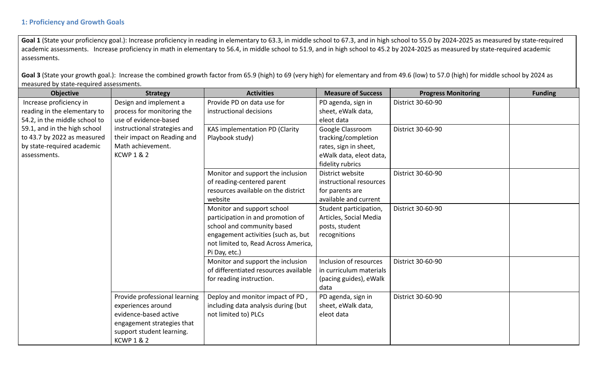Goal 1 (State your proficiency goal.): Increase proficiency in reading in elementary to 63.3, in middle school to 67.3, and in high school to 55.0 by 2024-2025 as measured by state-required academic assessments. Increase proficiency in math in elementary to 56.4, in middle school to 51.9, and in high school to 45.2 by 2024-2025 as measured by state-required academic assessments.

Goal 3 (State your growth goal.): Increase the combined growth factor from 65.9 (high) to 69 (very high) for elementary and from 49.6 (low) to 57.0 (high) for middle school by 2024 as measured by state-required assessments.

| <b>Objective</b>              | <b>Strategy</b>               | <b>Activities</b>                     | <b>Measure of Success</b> | <b>Progress Monitoring</b> | <b>Funding</b> |
|-------------------------------|-------------------------------|---------------------------------------|---------------------------|----------------------------|----------------|
| Increase proficiency in       | Design and implement a        | Provide PD on data use for            | PD agenda, sign in        | District 30-60-90          |                |
| reading in the elementary to  | process for monitoring the    | instructional decisions               | sheet, eWalk data,        |                            |                |
| 54.2, in the middle school to | use of evidence-based         |                                       | eleot data                |                            |                |
| 59.1, and in the high school  | instructional strategies and  | KAS implementation PD (Clarity        | Google Classroom          | District 30-60-90          |                |
| to 43.7 by 2022 as measured   | their impact on Reading and   | Playbook study)                       | tracking/completion       |                            |                |
| by state-required academic    | Math achievement.             |                                       | rates, sign in sheet,     |                            |                |
| assessments.                  | <b>KCWP 1 &amp; 2</b>         |                                       | eWalk data, eleot data,   |                            |                |
|                               |                               |                                       | fidelity rubrics          |                            |                |
|                               |                               | Monitor and support the inclusion     | District website          | District 30-60-90          |                |
|                               |                               | of reading-centered parent            | instructional resources   |                            |                |
|                               |                               | resources available on the district   | for parents are           |                            |                |
|                               |                               | website                               | available and current     |                            |                |
|                               |                               | Monitor and support school            | Student participation,    | District 30-60-90          |                |
|                               |                               | participation in and promotion of     | Articles, Social Media    |                            |                |
|                               |                               | school and community based            | posts, student            |                            |                |
|                               |                               | engagement activities (such as, but   | recognitions              |                            |                |
|                               |                               | not limited to, Read Across America,  |                           |                            |                |
|                               |                               | Pi Day, etc.)                         |                           |                            |                |
|                               |                               | Monitor and support the inclusion     | Inclusion of resources    | District 30-60-90          |                |
|                               |                               | of differentiated resources available | in curriculum materials   |                            |                |
|                               |                               | for reading instruction.              | (pacing guides), eWalk    |                            |                |
|                               |                               |                                       | data                      |                            |                |
|                               | Provide professional learning | Deploy and monitor impact of PD,      | PD agenda, sign in        | District 30-60-90          |                |
|                               | experiences around            | including data analysis during (but   | sheet, eWalk data,        |                            |                |
|                               | evidence-based active         | not limited to) PLCs                  | eleot data                |                            |                |
|                               | engagement strategies that    |                                       |                           |                            |                |
|                               | support student learning.     |                                       |                           |                            |                |
|                               | <b>KCWP 1 &amp; 2</b>         |                                       |                           |                            |                |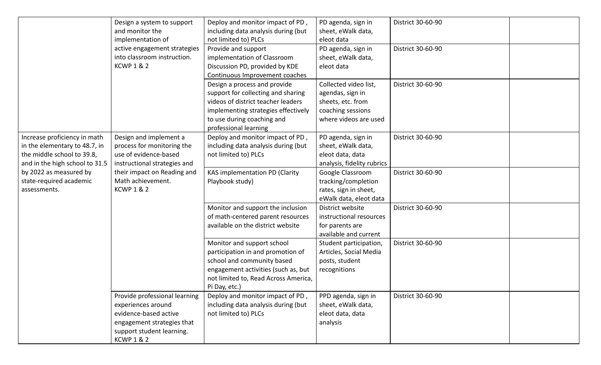|                                                                                                                               | Design a system to support<br>and monitor the<br>implementation of<br>active engagement strategies<br>into classroom instruction.<br><b>KCWP 1 &amp; 2</b>       | Deploy and monitor impact of PD,<br>including data analysis during (but<br>not limited to) PLCs<br>Provide and support<br>implementation of Classroom<br>Discussion PD, provided by KDE                                                  | PD agenda, sign in<br>sheet, eWalk data,<br>eleot data<br>PD agenda, sign in<br>sheet, eWalk data,<br>eleot data | District 30-60-90<br>District 30-60-90 |  |
|-------------------------------------------------------------------------------------------------------------------------------|------------------------------------------------------------------------------------------------------------------------------------------------------------------|------------------------------------------------------------------------------------------------------------------------------------------------------------------------------------------------------------------------------------------|------------------------------------------------------------------------------------------------------------------|----------------------------------------|--|
|                                                                                                                               |                                                                                                                                                                  | Continuous Improvement coaches<br>Design a process and provide<br>support for collecting and sharing<br>videos of district teacher leaders<br>implementing strategies effectively<br>to use during coaching and<br>professional learning | Collected video list,<br>agendas, sign in<br>sheets, etc. from<br>coaching sessions<br>where videos are used     | District 30-60-90                      |  |
| Increase proficiency in math<br>in the elementary to 48.7, in<br>the middle school to 39.8,<br>and in the high school to 31.5 | Design and implement a<br>process for monitoring the<br>use of evidence-based<br>instructional strategies and                                                    | Deploy and monitor impact of PD,<br>including data analysis during (but<br>not limited to) PLCs                                                                                                                                          | PD agenda, sign in<br>sheet, eWalk data,<br>eleot data, data<br>analysis, fidelity rubrics                       | District 30-60-90                      |  |
| by 2022 as measured by<br>state-required academic<br>assessments.                                                             | their impact on Reading and<br>Math achievement.<br><b>KCWP 1 &amp; 2</b>                                                                                        | KAS implementation PD (Clarity<br>Playbook study)                                                                                                                                                                                        | Google Classroom<br>tracking/completion<br>rates, sign in sheet,<br>eWalk data, eleot data                       | District 30-60-90                      |  |
|                                                                                                                               |                                                                                                                                                                  | Monitor and support the inclusion<br>of math-centered parent resources<br>available on the district website                                                                                                                              | District website<br>instructional resources<br>for parents are<br>available and current                          | District 30-60-90                      |  |
|                                                                                                                               |                                                                                                                                                                  | Monitor and support school<br>participation in and promotion of<br>school and community based<br>engagement activities (such as, but<br>not limited to, Read Across America,<br>Pi Day, etc.)                                            | Student participation,<br>Articles, Social Media<br>posts, student<br>recognitions                               | District 30-60-90                      |  |
|                                                                                                                               | Provide professional learning<br>experiences around<br>evidence-based active<br>engagement strategies that<br>support student learning.<br><b>KCWP 1 &amp; 2</b> | Deploy and monitor impact of PD,<br>including data analysis during (but<br>not limited to) PLCs                                                                                                                                          | PPD agenda, sign in<br>sheet, eWalk data,<br>eleot data, data<br>analysis                                        | District 30-60-90                      |  |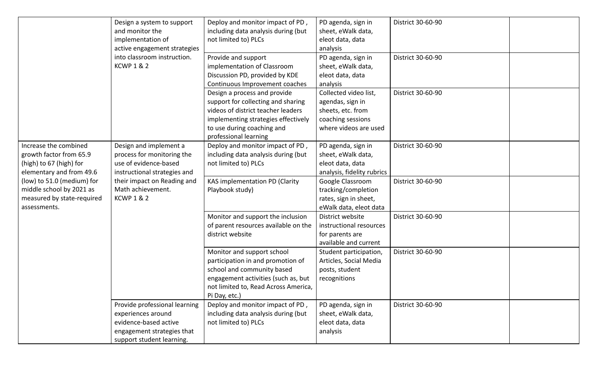|                                                                                                         | Design a system to support<br>and monitor the<br>implementation of<br>active engagement strategies                                      | Deploy and monitor impact of PD,<br>including data analysis during (but<br>not limited to) PLCs                                                                                                        | PD agenda, sign in<br>sheet, eWalk data,<br>eleot data, data<br>analysis                                     | District 30-60-90 |  |
|---------------------------------------------------------------------------------------------------------|-----------------------------------------------------------------------------------------------------------------------------------------|--------------------------------------------------------------------------------------------------------------------------------------------------------------------------------------------------------|--------------------------------------------------------------------------------------------------------------|-------------------|--|
|                                                                                                         | into classroom instruction.<br><b>KCWP 1 &amp; 2</b>                                                                                    | Provide and support<br>implementation of Classroom<br>Discussion PD, provided by KDE<br>Continuous Improvement coaches                                                                                 | PD agenda, sign in<br>sheet, eWalk data,<br>eleot data, data<br>analysis                                     | District 30-60-90 |  |
|                                                                                                         |                                                                                                                                         | Design a process and provide<br>support for collecting and sharing<br>videos of district teacher leaders<br>implementing strategies effectively<br>to use during coaching and<br>professional learning | Collected video list,<br>agendas, sign in<br>sheets, etc. from<br>coaching sessions<br>where videos are used | District 30-60-90 |  |
| Increase the combined<br>growth factor from 65.9<br>(high) to 67 (high) for<br>elementary and from 49.6 | Design and implement a<br>process for monitoring the<br>use of evidence-based<br>instructional strategies and                           | Deploy and monitor impact of PD,<br>including data analysis during (but<br>not limited to) PLCs                                                                                                        | PD agenda, sign in<br>sheet, eWalk data,<br>eleot data, data<br>analysis, fidelity rubrics                   | District 30-60-90 |  |
| (low) to 51.0 (medium) for<br>middle school by 2021 as<br>measured by state-required<br>assessments.    | their impact on Reading and<br>Math achievement.<br><b>KCWP 1 &amp; 2</b>                                                               | KAS implementation PD (Clarity<br>Playbook study)                                                                                                                                                      | Google Classroom<br>tracking/completion<br>rates, sign in sheet,<br>eWalk data, eleot data                   | District 30-60-90 |  |
|                                                                                                         |                                                                                                                                         | Monitor and support the inclusion<br>of parent resources available on the<br>district website                                                                                                          | District website<br>instructional resources<br>for parents are<br>available and current                      | District 30-60-90 |  |
|                                                                                                         |                                                                                                                                         | Monitor and support school<br>participation in and promotion of<br>school and community based<br>engagement activities (such as, but<br>not limited to, Read Across America,<br>Pi Day, etc.)          | Student participation,<br>Articles, Social Media<br>posts, student<br>recognitions                           | District 30-60-90 |  |
|                                                                                                         | Provide professional learning<br>experiences around<br>evidence-based active<br>engagement strategies that<br>support student learning. | Deploy and monitor impact of PD,<br>including data analysis during (but<br>not limited to) PLCs                                                                                                        | PD agenda, sign in<br>sheet, eWalk data,<br>eleot data, data<br>analysis                                     | District 30-60-90 |  |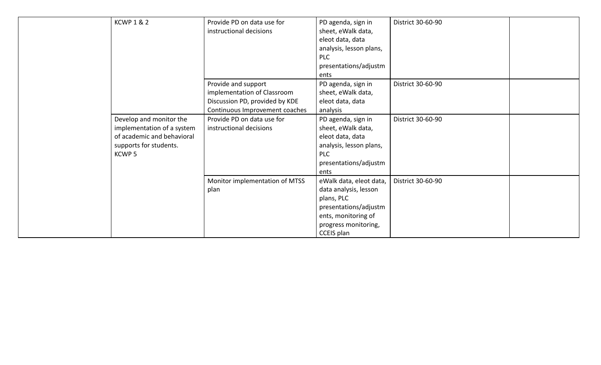| <b>KCWP 1 &amp; 2</b>      | Provide PD on data use for     | PD agenda, sign in      | District 30-60-90 |  |
|----------------------------|--------------------------------|-------------------------|-------------------|--|
|                            | instructional decisions        | sheet, eWalk data,      |                   |  |
|                            |                                | eleot data, data        |                   |  |
|                            |                                | analysis, lesson plans, |                   |  |
|                            |                                | <b>PLC</b>              |                   |  |
|                            |                                | presentations/adjustm   |                   |  |
|                            |                                | ents                    |                   |  |
|                            | Provide and support            | PD agenda, sign in      | District 30-60-90 |  |
|                            | implementation of Classroom    | sheet, eWalk data,      |                   |  |
|                            | Discussion PD, provided by KDE | eleot data, data        |                   |  |
|                            | Continuous Improvement coaches | analysis                |                   |  |
| Develop and monitor the    | Provide PD on data use for     | PD agenda, sign in      | District 30-60-90 |  |
| implementation of a system | instructional decisions        | sheet, eWalk data,      |                   |  |
| of academic and behavioral |                                | eleot data, data        |                   |  |
| supports for students.     |                                | analysis, lesson plans, |                   |  |
| KCWP <sub>5</sub>          |                                | <b>PLC</b>              |                   |  |
|                            |                                | presentations/adjustm   |                   |  |
|                            |                                | ents                    |                   |  |
|                            | Monitor implementation of MTSS | eWalk data, eleot data, | District 30-60-90 |  |
|                            | plan                           | data analysis, lesson   |                   |  |
|                            |                                | plans, PLC              |                   |  |
|                            |                                | presentations/adjustm   |                   |  |
|                            |                                | ents, monitoring of     |                   |  |
|                            |                                | progress monitoring,    |                   |  |
|                            |                                | CCEIS plan              |                   |  |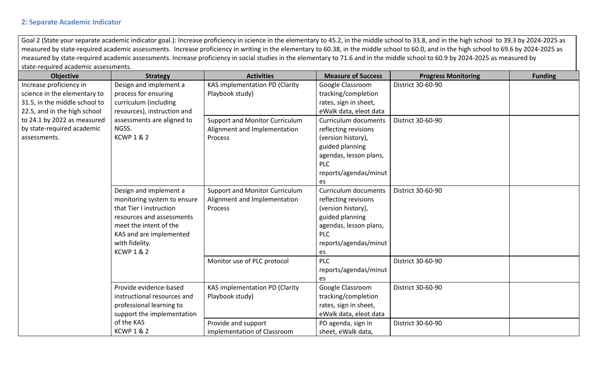#### **2: Separate Academic Indicator**

Goal 2 (State your separate academic indicator goal.): Increase proficiency in science in the elementary to 45.2, in the middle school to 33.8, and in the high school to 39.3 by 2024-2025 as measured by state-required academic assessments. Increase proficiency in writing in the elementary to 60.38, in the middle school to 60.0, and in the high school to 69.6 by 2024-2025 as measured by state-required academic assessments. Increase proficiency in social studies in the elementary to 71.6 and in the middle school to 60.9 by 2024-2025 as measured by state-required academic assessments.

| <b>Objective</b>              | <b>Strategy</b>             | <b>Activities</b>                     | <b>Measure of Success</b> | <b>Progress Monitoring</b> | <b>Funding</b> |
|-------------------------------|-----------------------------|---------------------------------------|---------------------------|----------------------------|----------------|
| Increase proficiency in       | Design and implement a      | KAS implementation PD (Clarity        | Google Classroom          | District 30-60-90          |                |
| science in the elementary to  | process for ensuring        | Playbook study)                       | tracking/completion       |                            |                |
| 31.5, in the middle school to | curriculum (including       |                                       | rates, sign in sheet,     |                            |                |
| 22.5, and in the high school  | resources), instruction and |                                       | eWalk data, eleot data    |                            |                |
| to 24.1 by 2022 as measured   | assessments are aligned to  | <b>Support and Monitor Curriculum</b> | Curriculum documents      | District 30-60-90          |                |
| by state-required academic    | NGSS.                       | Alignment and Implementation          | reflecting revisions      |                            |                |
| assessments.                  | <b>KCWP 1 &amp; 2</b>       | Process                               | (version history),        |                            |                |
|                               |                             |                                       | guided planning           |                            |                |
|                               |                             |                                       | agendas, lesson plans,    |                            |                |
|                               |                             |                                       | PLC                       |                            |                |
|                               |                             |                                       | reports/agendas/minut     |                            |                |
|                               |                             |                                       | es                        |                            |                |
|                               | Design and implement a      | Support and Monitor Curriculum        | Curriculum documents      | District 30-60-90          |                |
|                               | monitoring system to ensure | Alignment and Implementation          | reflecting revisions      |                            |                |
|                               | that Tier I instruction     | Process                               | (version history),        |                            |                |
|                               | resources and assessments   |                                       | guided planning           |                            |                |
|                               | meet the intent of the      |                                       | agendas, lesson plans,    |                            |                |
|                               | KAS and are implemented     |                                       | <b>PLC</b>                |                            |                |
|                               | with fidelity.              |                                       | reports/agendas/minut     |                            |                |
|                               | <b>KCWP 1 &amp; 2</b>       |                                       | es                        |                            |                |
|                               |                             | Monitor use of PLC protocol           | PLC                       | District 30-60-90          |                |
|                               |                             |                                       | reports/agendas/minut     |                            |                |
|                               |                             |                                       | es                        |                            |                |
|                               | Provide evidence-based      | KAS implementation PD (Clarity        | Google Classroom          | District 30-60-90          |                |
|                               | instructional resources and | Playbook study)                       | tracking/completion       |                            |                |
|                               | professional learning to    |                                       | rates, sign in sheet,     |                            |                |
|                               | support the implementation  |                                       | eWalk data, eleot data    |                            |                |
|                               | of the KAS                  | Provide and support                   | PD agenda, sign in        | District 30-60-90          |                |
|                               | <b>KCWP 1 &amp; 2</b>       | implementation of Classroom           | sheet, eWalk data,        |                            |                |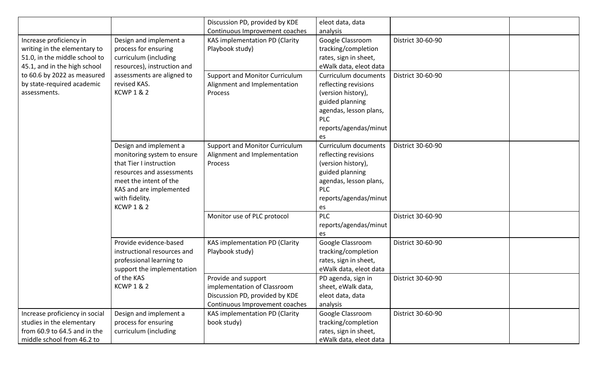|                                |                             | Discussion PD, provided by KDE        | eleot data, data            |                   |  |
|--------------------------------|-----------------------------|---------------------------------------|-----------------------------|-------------------|--|
|                                |                             | Continuous Improvement coaches        | analysis                    |                   |  |
| Increase proficiency in        | Design and implement a      | KAS implementation PD (Clarity        | Google Classroom            | District 30-60-90 |  |
| writing in the elementary to   | process for ensuring        | Playbook study)                       | tracking/completion         |                   |  |
| 51.0, in the middle school to  | curriculum (including       |                                       | rates, sign in sheet,       |                   |  |
| 45.1, and in the high school   | resources), instruction and |                                       | eWalk data, eleot data      |                   |  |
| to 60.6 by 2022 as measured    | assessments are aligned to  | <b>Support and Monitor Curriculum</b> | <b>Curriculum documents</b> | District 30-60-90 |  |
| by state-required academic     | revised KAS.                | Alignment and Implementation          | reflecting revisions        |                   |  |
| assessments.                   | <b>KCWP 1 &amp; 2</b>       | Process                               | (version history),          |                   |  |
|                                |                             |                                       | guided planning             |                   |  |
|                                |                             |                                       | agendas, lesson plans,      |                   |  |
|                                |                             |                                       | <b>PLC</b>                  |                   |  |
|                                |                             |                                       | reports/agendas/minut       |                   |  |
|                                |                             |                                       | es                          |                   |  |
|                                | Design and implement a      | Support and Monitor Curriculum        | <b>Curriculum documents</b> | District 30-60-90 |  |
|                                | monitoring system to ensure | Alignment and Implementation          | reflecting revisions        |                   |  |
|                                | that Tier I instruction     | Process                               | (version history),          |                   |  |
|                                | resources and assessments   |                                       | guided planning             |                   |  |
|                                | meet the intent of the      |                                       | agendas, lesson plans,      |                   |  |
|                                | KAS and are implemented     |                                       | <b>PLC</b>                  |                   |  |
|                                | with fidelity.              |                                       | reports/agendas/minut       |                   |  |
|                                | <b>KCWP 1 &amp; 2</b>       |                                       | es                          |                   |  |
|                                |                             | Monitor use of PLC protocol           | <b>PLC</b>                  | District 30-60-90 |  |
|                                |                             |                                       | reports/agendas/minut       |                   |  |
|                                |                             |                                       | es                          |                   |  |
|                                | Provide evidence-based      | KAS implementation PD (Clarity        | Google Classroom            | District 30-60-90 |  |
|                                | instructional resources and | Playbook study)                       | tracking/completion         |                   |  |
|                                | professional learning to    |                                       | rates, sign in sheet,       |                   |  |
|                                | support the implementation  |                                       | eWalk data, eleot data      |                   |  |
|                                | of the KAS                  | Provide and support                   | PD agenda, sign in          | District 30-60-90 |  |
|                                | <b>KCWP 1 &amp; 2</b>       | implementation of Classroom           | sheet, eWalk data,          |                   |  |
|                                |                             | Discussion PD, provided by KDE        | eleot data, data            |                   |  |
|                                |                             | Continuous Improvement coaches        | analysis                    |                   |  |
| Increase proficiency in social | Design and implement a      | KAS implementation PD (Clarity        | Google Classroom            | District 30-60-90 |  |
| studies in the elementary      | process for ensuring        | book study)                           | tracking/completion         |                   |  |
| from 60.9 to 64.5 and in the   | curriculum (including       |                                       | rates, sign in sheet,       |                   |  |
| middle school from 46.2 to     |                             |                                       | eWalk data, eleot data      |                   |  |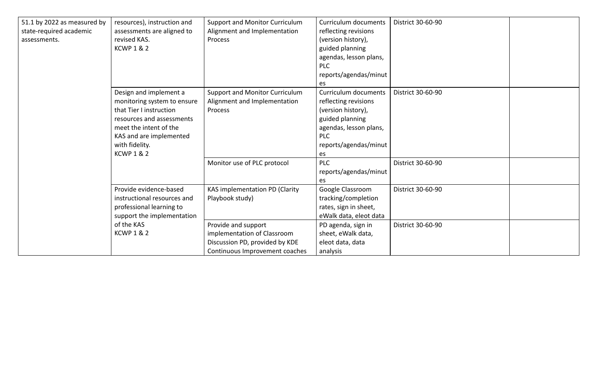| 51.1 by 2022 as measured by<br>state-required academic<br>assessments. | resources), instruction and<br>assessments are aligned to<br>revised KAS.<br><b>KCWP 1 &amp; 2</b>                                                                                                            | <b>Support and Monitor Curriculum</b><br>Alignment and Implementation<br>Process                                       | <b>Curriculum documents</b><br>reflecting revisions<br>(version history),<br>guided planning<br>agendas, lesson plans,<br>PLC<br>reports/agendas/minut                     | District 30-60-90                      |  |
|------------------------------------------------------------------------|---------------------------------------------------------------------------------------------------------------------------------------------------------------------------------------------------------------|------------------------------------------------------------------------------------------------------------------------|----------------------------------------------------------------------------------------------------------------------------------------------------------------------------|----------------------------------------|--|
|                                                                        |                                                                                                                                                                                                               |                                                                                                                        | es                                                                                                                                                                         |                                        |  |
|                                                                        | Design and implement a<br>monitoring system to ensure<br>that Tier I instruction<br>resources and assessments<br>meet the intent of the<br>KAS and are implemented<br>with fidelity.<br><b>KCWP 1 &amp; 2</b> | Support and Monitor Curriculum<br>Alignment and Implementation<br>Process<br>Monitor use of PLC protocol               | <b>Curriculum documents</b><br>reflecting revisions<br>(version history),<br>guided planning<br>agendas, lesson plans,<br><b>PLC</b><br>reports/agendas/minut<br>es<br>PLC | District 30-60-90<br>District 30-60-90 |  |
|                                                                        |                                                                                                                                                                                                               |                                                                                                                        | reports/agendas/minut                                                                                                                                                      |                                        |  |
|                                                                        | Provide evidence-based<br>instructional resources and<br>professional learning to<br>support the implementation                                                                                               | KAS implementation PD (Clarity<br>Playbook study)                                                                      | es<br>Google Classroom<br>tracking/completion<br>rates, sign in sheet,<br>eWalk data, eleot data                                                                           | District 30-60-90                      |  |
|                                                                        | of the KAS<br><b>KCWP 1 &amp; 2</b>                                                                                                                                                                           | Provide and support<br>implementation of Classroom<br>Discussion PD, provided by KDE<br>Continuous Improvement coaches | PD agenda, sign in<br>sheet, eWalk data,<br>eleot data, data<br>analysis                                                                                                   | District 30-60-90                      |  |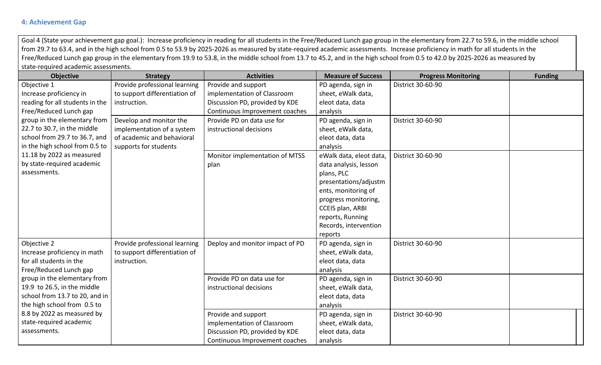# **4: Achievement Gap**

Goal 4 (State your achievement gap goal.): Increase proficiency in reading for all students in the Free/Reduced Lunch gap group in the elementary from 22.7 to 59.6, in the middle school from 29.7 to 63.4, and in the high school from 0.5 to 53.9 by 2025-2026 as measured by state-required academic assessments. Increase proficiency in math for all students in the Free/Reduced Lunch gap group in the elementary from 19.9 to 53.8, in the middle school from 13.7 to 45.2, and in the high school from 0.5 to 42.0 by 2025-2026 as measured by state-required academic assessments.

| <b>Objective</b>                | <b>Strategy</b>               | <b>Activities</b>               | <b>Measure of Success</b> | <b>Progress Monitoring</b> | <b>Funding</b> |
|---------------------------------|-------------------------------|---------------------------------|---------------------------|----------------------------|----------------|
| Objective 1                     | Provide professional learning | Provide and support             | PD agenda, sign in        | District 30-60-90          |                |
| Increase proficiency in         | to support differentiation of | implementation of Classroom     | sheet, eWalk data,        |                            |                |
| reading for all students in the | instruction.                  | Discussion PD, provided by KDE  | eleot data, data          |                            |                |
| Free/Reduced Lunch gap          |                               | Continuous Improvement coaches  | analysis                  |                            |                |
| group in the elementary from    | Develop and monitor the       | Provide PD on data use for      | PD agenda, sign in        | District 30-60-90          |                |
| 22.7 to 30.7, in the middle     | implementation of a system    | instructional decisions         | sheet, eWalk data,        |                            |                |
| school from 29.7 to 36.7, and   | of academic and behavioral    |                                 | eleot data, data          |                            |                |
| in the high school from 0.5 to  | supports for students         |                                 | analysis                  |                            |                |
| 11.18 by 2022 as measured       |                               | Monitor implementation of MTSS  | eWalk data, eleot data,   | District 30-60-90          |                |
| by state-required academic      |                               | plan                            | data analysis, lesson     |                            |                |
| assessments.                    |                               |                                 | plans, PLC                |                            |                |
|                                 |                               |                                 | presentations/adjustm     |                            |                |
|                                 |                               |                                 | ents, monitoring of       |                            |                |
|                                 |                               |                                 | progress monitoring,      |                            |                |
|                                 |                               |                                 | CCEIS plan, ARBI          |                            |                |
|                                 |                               |                                 | reports, Running          |                            |                |
|                                 |                               |                                 | Records, intervention     |                            |                |
|                                 |                               |                                 | reports                   |                            |                |
| Objective 2                     | Provide professional learning | Deploy and monitor impact of PD | PD agenda, sign in        | District 30-60-90          |                |
| Increase proficiency in math    | to support differentiation of |                                 | sheet, eWalk data,        |                            |                |
| for all students in the         | instruction.                  |                                 | eleot data, data          |                            |                |
| Free/Reduced Lunch gap          |                               |                                 | analysis                  |                            |                |
| group in the elementary from    |                               | Provide PD on data use for      | PD agenda, sign in        | District 30-60-90          |                |
| 19.9 to 26.5, in the middle     |                               | instructional decisions         | sheet, eWalk data,        |                            |                |
| school from 13.7 to 20, and in  |                               |                                 | eleot data, data          |                            |                |
| the high school from 0.5 to     |                               |                                 | analysis                  |                            |                |
| 8.8 by 2022 as measured by      |                               | Provide and support             | PD agenda, sign in        | District 30-60-90          |                |
| state-required academic         |                               | implementation of Classroom     | sheet, eWalk data,        |                            |                |
| assessments.                    |                               | Discussion PD, provided by KDE  | eleot data, data          |                            |                |
|                                 |                               | Continuous Improvement coaches  | analysis                  |                            |                |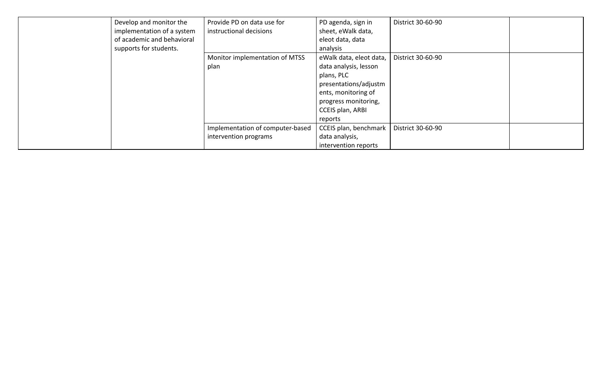| Develop and monitor the<br>of academic and behavioral<br>supports for students. | Provide PD on data use for<br>implementation of a system<br>instructional decisions | PD agenda, sign in<br>sheet, eWalk data,<br>eleot data, data<br>analysis | District 30-60-90 |  |
|---------------------------------------------------------------------------------|-------------------------------------------------------------------------------------|--------------------------------------------------------------------------|-------------------|--|
|                                                                                 | Monitor implementation of MTSS                                                      | eWalk data, eleot data,                                                  | District 30-60-90 |  |
|                                                                                 | plan                                                                                | data analysis, lesson                                                    |                   |  |
|                                                                                 |                                                                                     | plans, PLC                                                               |                   |  |
|                                                                                 |                                                                                     | presentations/adjustm                                                    |                   |  |
|                                                                                 |                                                                                     | ents, monitoring of                                                      |                   |  |
|                                                                                 |                                                                                     | progress monitoring,                                                     |                   |  |
|                                                                                 |                                                                                     | <b>CCEIS plan, ARBI</b>                                                  |                   |  |
|                                                                                 |                                                                                     | reports                                                                  |                   |  |
|                                                                                 | Implementation of computer-based                                                    | CCEIS plan, benchmark                                                    | District 30-60-90 |  |
|                                                                                 | intervention programs                                                               | data analysis,                                                           |                   |  |
|                                                                                 |                                                                                     | intervention reports                                                     |                   |  |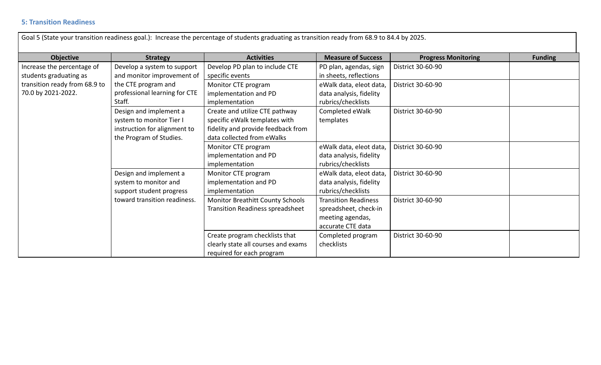# **5: Transition Readiness**

| Goal 5 (State your transition readiness goal.): Increase the percentage of students graduating as transition ready from 68.9 to 84.4 by 2025. |                                                                                                               |                                                                                                                                     |                                                                                               |                            |                |  |  |
|-----------------------------------------------------------------------------------------------------------------------------------------------|---------------------------------------------------------------------------------------------------------------|-------------------------------------------------------------------------------------------------------------------------------------|-----------------------------------------------------------------------------------------------|----------------------------|----------------|--|--|
| <b>Objective</b>                                                                                                                              | <b>Strategy</b>                                                                                               | <b>Activities</b>                                                                                                                   | <b>Measure of Success</b>                                                                     | <b>Progress Monitoring</b> | <b>Funding</b> |  |  |
| Increase the percentage of<br>students graduating as                                                                                          | Develop a system to support<br>and monitor improvement of                                                     | Develop PD plan to include CTE<br>specific events                                                                                   | PD plan, agendas, sign<br>in sheets, reflections                                              | District 30-60-90          |                |  |  |
| transition ready from 68.9 to<br>70.0 by 2021-2022.                                                                                           | the CTE program and<br>professional learning for CTE<br>Staff.                                                | Monitor CTE program<br>implementation and PD<br>implementation                                                                      | eWalk data, eleot data,<br>data analysis, fidelity<br>rubrics/checklists                      | District 30-60-90          |                |  |  |
|                                                                                                                                               | Design and implement a<br>system to monitor Tier I<br>instruction for alignment to<br>the Program of Studies. | Create and utilize CTE pathway<br>specific eWalk templates with<br>fidelity and provide feedback from<br>data collected from eWalks | Completed eWalk<br>templates                                                                  | District 30-60-90          |                |  |  |
|                                                                                                                                               |                                                                                                               | Monitor CTE program<br>implementation and PD<br>implementation                                                                      | eWalk data, eleot data,<br>data analysis, fidelity<br>rubrics/checklists                      | District 30-60-90          |                |  |  |
|                                                                                                                                               | Design and implement a<br>system to monitor and<br>support student progress                                   | Monitor CTE program<br>implementation and PD<br>implementation                                                                      | eWalk data, eleot data,<br>data analysis, fidelity<br>rubrics/checklists                      | District 30-60-90          |                |  |  |
|                                                                                                                                               | toward transition readiness.                                                                                  | <b>Monitor Breathitt County Schools</b><br><b>Transition Readiness spreadsheet</b>                                                  | <b>Transition Readiness</b><br>spreadsheet, check-in<br>meeting agendas,<br>accurate CTE data | District 30-60-90          |                |  |  |
|                                                                                                                                               |                                                                                                               | Create program checklists that<br>clearly state all courses and exams<br>required for each program                                  | Completed program<br>checklists                                                               | District 30-60-90          |                |  |  |